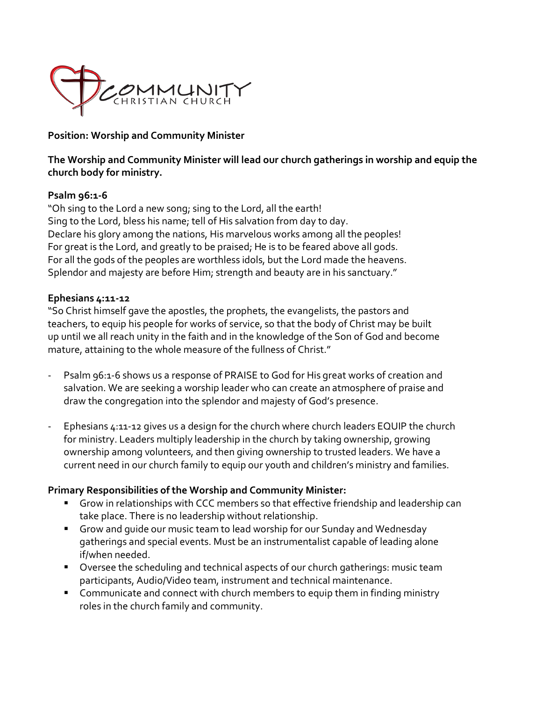

#### **Position: Worship and Community Minister**

**The Worship and Community Minister will lead our church gatherings in worship and equip the church body for ministry.** 

#### **Psalm 96:1-6**

"Oh sing to the Lord a new song; sing to the Lord, all the earth! Sing to the Lord, bless his name; tell of His salvation from day to day. Declare his glory among the nations, His marvelous works among all the peoples! For great is the Lord, and greatly to be praised; He is to be feared above all gods. For all the gods of the peoples are worthless idols, but the Lord made the heavens. Splendor and majesty are before Him; strength and beauty are in his sanctuary."

#### **Ephesians 4:11-12**

"So Christ himself gave the apostles, the prophets, the evangelists, the pastors and teachers, to equip his people for works of service, so that the body of Christ may be built up until we all reach unity in the faith and in the knowledge of the Son of God and become mature, attaining to the whole measure of the fullness of Christ."

- Psalm 96:1-6 shows us a response of PRAISE to God for His great works of creation and salvation. We are seeking a worship leader who can create an atmosphere of praise and draw the congregation into the splendor and majesty of God's presence.
- Ephesians 4:11-12 gives us a design for the church where church leaders EQUIP the church for ministry. Leaders multiply leadership in the church by taking ownership, growing ownership among volunteers, and then giving ownership to trusted leaders. We have a current need in our church family to equip our youth and children's ministry and families.

#### **Primary Responsibilities of the Worship and Community Minister:**

- § Grow in relationships with CCC members so that effective friendship and leadership can take place. There is no leadership without relationship.
- § Grow and guide our music team to lead worship for our Sunday and Wednesday gatherings and special events. Must be an instrumentalist capable of leading alone if/when needed.
- Oversee the scheduling and technical aspects of our church gatherings: music team participants, Audio/Video team, instrument and technical maintenance.
- § Communicate and connect with church members to equip them in finding ministry roles in the church family and community.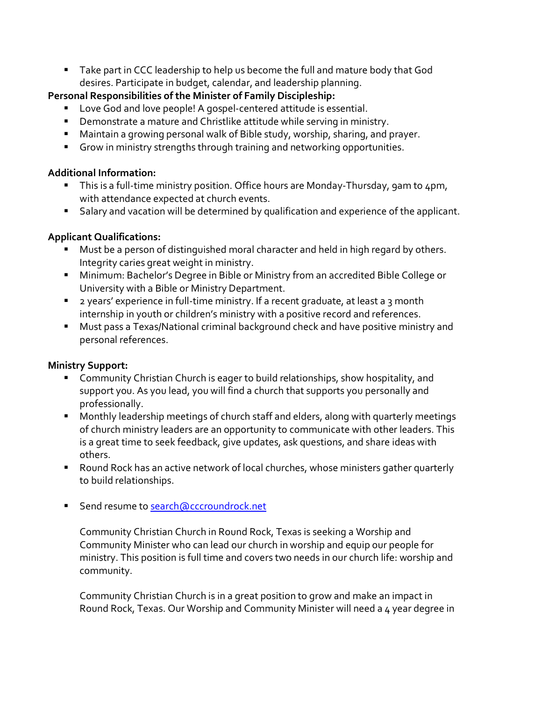§ Take part in CCC leadership to help us become the full and mature body that God desires. Participate in budget, calendar, and leadership planning.

## **Personal Responsibilities of the Minister of Family Discipleship:**

- Love God and love people! A gospel-centered attitude is essential.
- Demonstrate a mature and Christlike attitude while serving in ministry.
- Maintain a growing personal walk of Bible study, worship, sharing, and prayer.
- Grow in ministry strengths through training and networking opportunities.

## **Additional Information:**

- This is a full-time ministry position. Office hours are Monday-Thursday, 9am to 4pm, with attendance expected at church events.
- Salary and vacation will be determined by qualification and experience of the applicant.

# **Applicant Qualifications:**

- Must be a person of distinguished moral character and held in high regard by others. Integrity caries great weight in ministry.
- Minimum: Bachelor's Degree in Bible or Ministry from an accredited Bible College or University with a Bible or Ministry Department.
- 2 years' experience in full-time ministry. If a recent graduate, at least a 3 month internship in youth or children's ministry with a positive record and references.
- Must pass a Texas/National criminal background check and have positive ministry and personal references.

## **Ministry Support:**

- Community Christian Church is eager to build relationships, show hospitality, and support you. As you lead, you will find a church that supports you personally and professionally.
- Monthly leadership meetings of church staff and elders, along with quarterly meetings of church ministry leaders are an opportunity to communicate with other leaders. This is a great time to seek feedback, give updates, ask questions, and share ideas with others.
- Round Rock has an active network of local churches, whose ministers gather quarterly to build relationships.
- Send resume to search@cccroundrock.net

Community Christian Church in Round Rock, Texas is seeking a Worship and Community Minister who can lead our church in worship and equip our people for ministry. This position is full time and covers two needs in our church life: worship and community.

Community Christian Church is in a great position to grow and make an impact in Round Rock, Texas. Our Worship and Community Minister will need a 4 year degree in